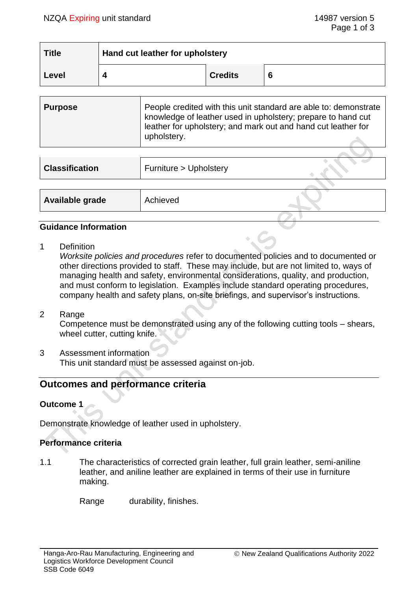**SIN** 

| <b>Title</b> | Hand cut leather for upholstery |                |   |
|--------------|---------------------------------|----------------|---|
| Level        |                                 | <b>Credits</b> | 6 |

| People credited with this unit standard are able to: demonstrate<br><b>Purpose</b><br>knowledge of leather used in upholstery; prepare to hand cut<br>leather for upholstery; and mark out and hand cut leather for<br>upholstery. |  |
|------------------------------------------------------------------------------------------------------------------------------------------------------------------------------------------------------------------------------------|--|
|------------------------------------------------------------------------------------------------------------------------------------------------------------------------------------------------------------------------------------|--|

| Furniture > Upholstery |  |
|------------------------|--|
|                        |  |
| Achieved               |  |
|                        |  |

#### **Guidance Information**

1 Definition

*Worksite policies and procedures* refer to documented policies and to documented or other directions provided to staff. These may include, but are not limited to, ways of managing health and safety, environmental considerations, quality, and production, and must conform to legislation. Examples include standard operating procedures, company health and safety plans, on-site briefings, and supervisor's instructions.

2 Range

Competence must be demonstrated using any of the following cutting tools – shears, wheel cutter, cutting knife.

3 Assessment information This unit standard must be assessed against on-job.

# **Outcomes and performance criteria**

## **Outcome 1**

Demonstrate knowledge of leather used in upholstery.

#### **Performance criteria**

1.1 The characteristics of corrected grain leather, full grain leather, semi-aniline leather, and aniline leather are explained in terms of their use in furniture making.

Range durability, finishes.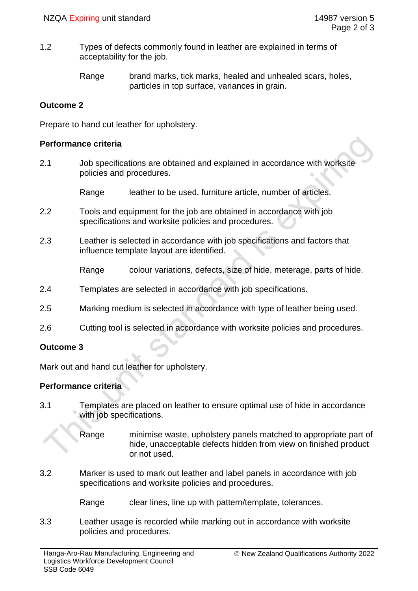1.2 Types of defects commonly found in leather are explained in terms of acceptability for the job.

> Range brand marks, tick marks, healed and unhealed scars, holes, particles in top surface, variances in grain.

#### **Outcome 2**

Prepare to hand cut leather for upholstery.

#### **Performance criteria**

2.1 Job specifications are obtained and explained in accordance with worksite policies and procedures.

Range leather to be used, furniture article, number of articles.

- 2.2 Tools and equipment for the job are obtained in accordance with job specifications and worksite policies and procedures.
- 2.3 Leather is selected in accordance with job specifications and factors that influence template layout are identified.

Range colour variations, defects, size of hide, meterage, parts of hide.

- 2.4 Templates are selected in accordance with job specifications.
- 2.5 Marking medium is selected in accordance with type of leather being used.
- 2.6 Cutting tool is selected in accordance with worksite policies and procedures.

## **Outcome 3**

Mark out and hand cut leather for upholstery.

## **Performance criteria**

- 3.1 Templates are placed on leather to ensure optimal use of hide in accordance with job specifications.
	- Range minimise waste, upholstery panels matched to appropriate part of hide, unacceptable defects hidden from view on finished product or not used.
- 3.2 Marker is used to mark out leather and label panels in accordance with job specifications and worksite policies and procedures.
	- Range clear lines, line up with pattern/template, tolerances.
- 3.3 Leather usage is recorded while marking out in accordance with worksite policies and procedures.